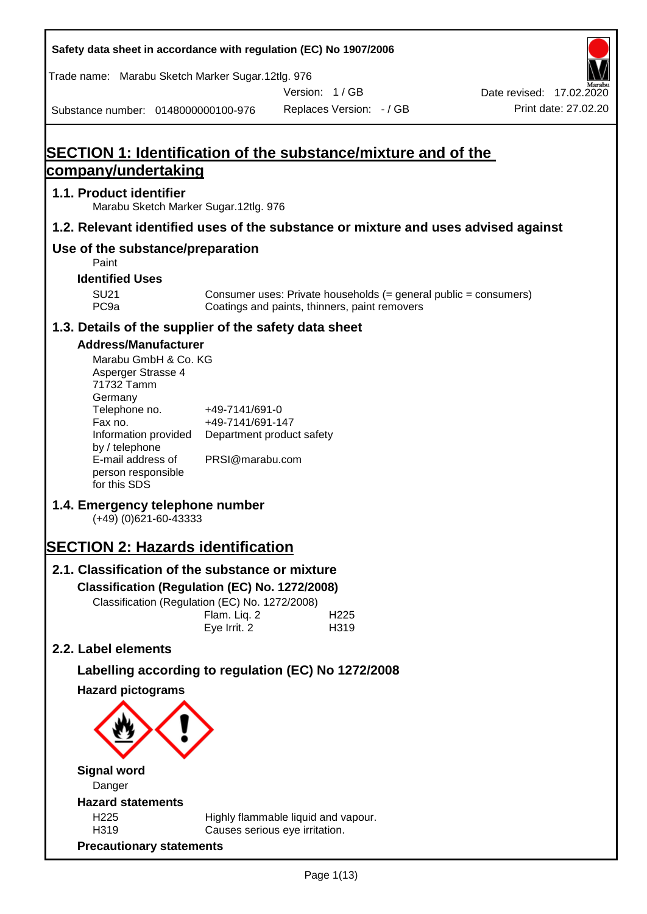**Safety data sheet in accordance with regulation (EC) No 1907/2006** Substance number: 0148000000100-976 Version: 1 / GB Replaces Version: - / GB Print date: 27.02.20 Date revised: 17.02.2020 Trade name: Marabu Sketch Marker Sugar.12tlg. 976 **SECTION 1: Identification of the substance/mixture and of the company/undertaking 1.1. Product identifier** Marabu Sketch Marker Sugar.12tlg. 976 **1.2. Relevant identified uses of the substance or mixture and uses advised against Use of the substance/preparation** Paint **Identified Uses** SU21 Consumer uses: Private households (= general public = consumers)<br>PC9a Coatings and paints, thinners, paint removers Coatings and paints, thinners, paint removers **1.3. Details of the supplier of the safety data sheet Address/Manufacturer** Marabu GmbH & Co. KG Asperger Strasse 4 71732 Tamm **Germany** Telephone no. +49-7141/691-0 Fax no.  $+49-7141/691-147$ Information provided Department product safety by / telephone E-mail address of person responsible for this SDS PRSI@marabu.com **1.4. Emergency telephone number** (+49) (0)621-60-43333 **SECTION 2: Hazards identification 2.1. Classification of the substance or mixture Classification (Regulation (EC) No. 1272/2008)** Classification (Regulation (EC) No. 1272/2008) Flam. Liq. 2 H225 Eye Irrit. 2 H319 **2.2. Label elements Labelling according to regulation (EC) No 1272/2008 Hazard pictograms Signal word** Danger **Hazard statements** H225 Highly flammable liquid and vapour. H319 Causes serious eye irritation. **Precautionary statements**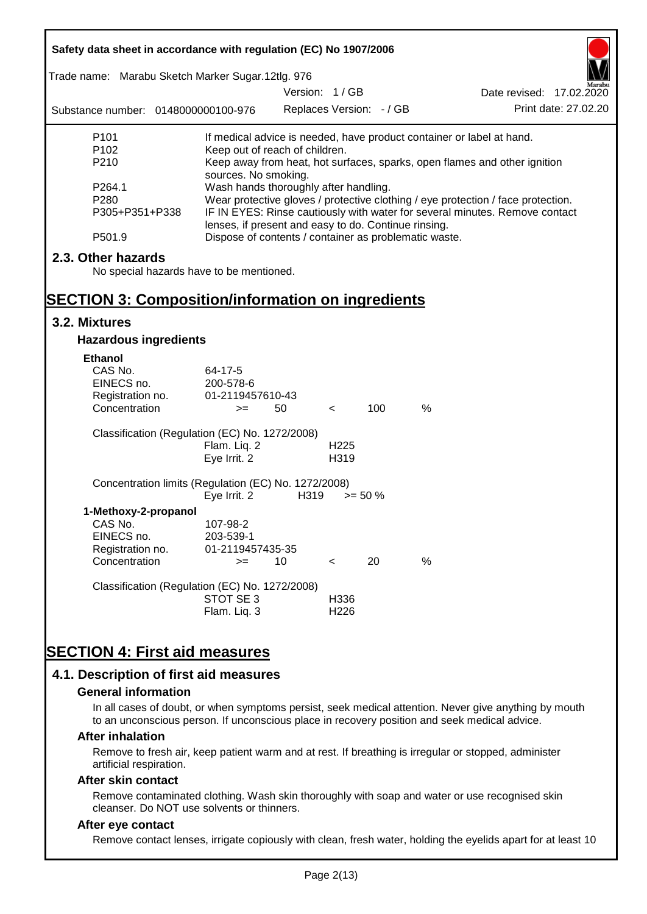| Safety data sheet in accordance with regulation (EC) No 1907/2006                                                          |                                                                                                                                                                                                          |                          |                          |            |                                                                           |  |  |  |
|----------------------------------------------------------------------------------------------------------------------------|----------------------------------------------------------------------------------------------------------------------------------------------------------------------------------------------------------|--------------------------|--------------------------|------------|---------------------------------------------------------------------------|--|--|--|
| Trade name: Marabu Sketch Marker Sugar.12tlg. 976                                                                          |                                                                                                                                                                                                          | Version: 1/GB            |                          |            | Date revised: 17.02.2020                                                  |  |  |  |
| Substance number: 0148000000100-976                                                                                        |                                                                                                                                                                                                          | Replaces Version: - / GB |                          |            | Print date: 27.02.20                                                      |  |  |  |
| P <sub>101</sub>                                                                                                           |                                                                                                                                                                                                          |                          |                          |            | If medical advice is needed, have product container or label at hand.     |  |  |  |
| P <sub>102</sub><br>P210                                                                                                   | Keep out of reach of children.<br>sources. No smoking.                                                                                                                                                   |                          |                          |            | Keep away from heat, hot surfaces, sparks, open flames and other ignition |  |  |  |
| P264.1<br>P <sub>280</sub><br>P305+P351+P338                                                                               | Wash hands thoroughly after handling.<br>Wear protective gloves / protective clothing / eye protection / face protection.<br>IF IN EYES: Rinse cautiously with water for several minutes. Remove contact |                          |                          |            |                                                                           |  |  |  |
| P501.9                                                                                                                     | lenses, if present and easy to do. Continue rinsing.<br>Dispose of contents / container as problematic waste.                                                                                            |                          |                          |            |                                                                           |  |  |  |
| 2.3. Other hazards<br>No special hazards have to be mentioned.<br><b>SECTION 3: Composition/information on ingredients</b> |                                                                                                                                                                                                          |                          |                          |            |                                                                           |  |  |  |
| 3.2. Mixtures                                                                                                              |                                                                                                                                                                                                          |                          |                          |            |                                                                           |  |  |  |
| <b>Hazardous ingredients</b>                                                                                               |                                                                                                                                                                                                          |                          |                          |            |                                                                           |  |  |  |
| <b>Ethanol</b><br>CAS No.<br>EINECS no.<br>Registration no.<br>Concentration                                               | 64-17-5<br>200-578-6<br>01-2119457610-43<br>$>=$                                                                                                                                                         | 50                       | $\,<\,$                  | 100        | $\%$                                                                      |  |  |  |
| Classification (Regulation (EC) No. 1272/2008)                                                                             | Flam. Liq. 2<br>Eye Irrit. 2                                                                                                                                                                             |                          | H <sub>225</sub><br>H319 |            |                                                                           |  |  |  |
| Concentration limits (Regulation (EC) No. 1272/2008)                                                                       | Eye Irrit. 2                                                                                                                                                                                             | H319                     |                          | $>= 50 \%$ |                                                                           |  |  |  |
| 1-Methoxy-2-propanol<br>CAS No.<br>EINECS no.<br>Registration no.                                                          | 107-98-2<br>203-539-1<br>01-2119457435-35                                                                                                                                                                |                          |                          |            |                                                                           |  |  |  |
| Concentration                                                                                                              | $>=$                                                                                                                                                                                                     | 10                       | $\,<\,$                  | 20         | %                                                                         |  |  |  |
| Classification (Regulation (EC) No. 1272/2008)                                                                             | STOT SE 3<br>Flam. Liq. 3                                                                                                                                                                                |                          | H336<br>H <sub>226</sub> |            |                                                                           |  |  |  |
| <b>SECTION 4: First aid measures</b><br>4.1. Description of first aid measures                                             |                                                                                                                                                                                                          |                          |                          |            |                                                                           |  |  |  |

#### **General information**

In all cases of doubt, or when symptoms persist, seek medical attention. Never give anything by mouth to an unconscious person. If unconscious place in recovery position and seek medical advice.

#### **After inhalation**

Remove to fresh air, keep patient warm and at rest. If breathing is irregular or stopped, administer artificial respiration.

#### **After skin contact**

Remove contaminated clothing. Wash skin thoroughly with soap and water or use recognised skin cleanser. Do NOT use solvents or thinners.

### **After eye contact**

Remove contact lenses, irrigate copiously with clean, fresh water, holding the eyelids apart for at least 10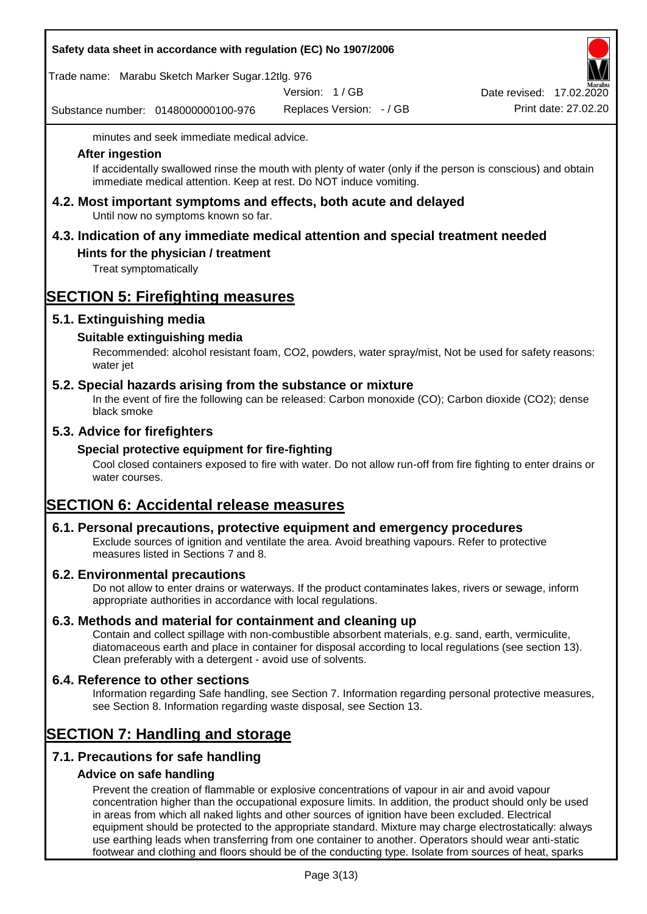| Safety data sheet in accordance with regulation (EC) No 1907/2006 |  |
|-------------------------------------------------------------------|--|
|-------------------------------------------------------------------|--|

Trade name: Marabu Sketch Marker Sugar.12tlg. 976

Version: 1 / GB

Substance number: 0148000000100-976

Replaces Version: - / GB Print date: 27.02.20 Date revised: 17.02.2020

minutes and seek immediate medical advice.

#### **After ingestion**

If accidentally swallowed rinse the mouth with plenty of water (only if the person is conscious) and obtain immediate medical attention. Keep at rest. Do NOT induce vomiting.

**4.2. Most important symptoms and effects, both acute and delayed** Until now no symptoms known so far.

# **4.3. Indication of any immediate medical attention and special treatment needed**

## **Hints for the physician / treatment**

Treat symptomatically

# **SECTION 5: Firefighting measures**

## **5.1. Extinguishing media**

## **Suitable extinguishing media**

Recommended: alcohol resistant foam, CO2, powders, water spray/mist, Not be used for safety reasons: water jet

### **5.2. Special hazards arising from the substance or mixture**

In the event of fire the following can be released: Carbon monoxide (CO); Carbon dioxide (CO2); dense black smoke

## **5.3. Advice for firefighters**

### **Special protective equipment for fire-fighting**

Cool closed containers exposed to fire with water. Do not allow run-off from fire fighting to enter drains or water courses.

# **SECTION 6: Accidental release measures**

### **6.1. Personal precautions, protective equipment and emergency procedures**

Exclude sources of ignition and ventilate the area. Avoid breathing vapours. Refer to protective measures listed in Sections 7 and 8.

### **6.2. Environmental precautions**

Do not allow to enter drains or waterways. If the product contaminates lakes, rivers or sewage, inform appropriate authorities in accordance with local regulations.

### **6.3. Methods and material for containment and cleaning up**

Contain and collect spillage with non-combustible absorbent materials, e.g. sand, earth, vermiculite, diatomaceous earth and place in container for disposal according to local regulations (see section 13). Clean preferably with a detergent - avoid use of solvents.

### **6.4. Reference to other sections**

Information regarding Safe handling, see Section 7. Information regarding personal protective measures, see Section 8. Information regarding waste disposal, see Section 13.

## **SECTION 7: Handling and storage**

## **7.1. Precautions for safe handling**

### **Advice on safe handling**

Prevent the creation of flammable or explosive concentrations of vapour in air and avoid vapour concentration higher than the occupational exposure limits. In addition, the product should only be used in areas from which all naked lights and other sources of ignition have been excluded. Electrical equipment should be protected to the appropriate standard. Mixture may charge electrostatically: always use earthing leads when transferring from one container to another. Operators should wear anti-static footwear and clothing and floors should be of the conducting type. Isolate from sources of heat, sparks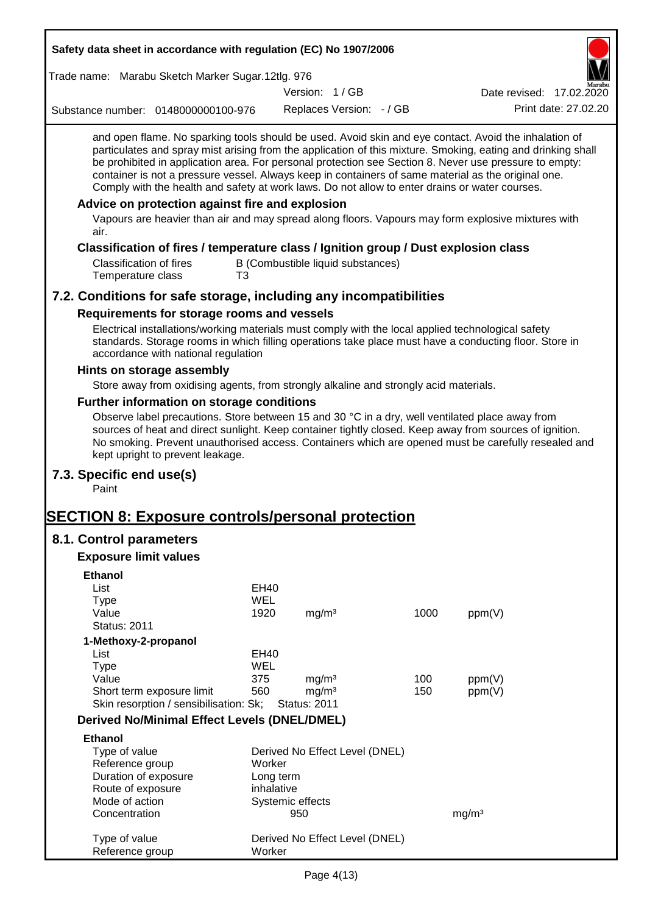| Safety data sheet in accordance with regulation (EC) No 1907/2006                                                                                                                                                                                                                                                                                                                                                                                                                                                                        |                   |                     |                                   |      |                          |
|------------------------------------------------------------------------------------------------------------------------------------------------------------------------------------------------------------------------------------------------------------------------------------------------------------------------------------------------------------------------------------------------------------------------------------------------------------------------------------------------------------------------------------------|-------------------|---------------------|-----------------------------------|------|--------------------------|
| Trade name: Marabu Sketch Marker Sugar.12tlg. 976                                                                                                                                                                                                                                                                                                                                                                                                                                                                                        |                   |                     |                                   |      |                          |
|                                                                                                                                                                                                                                                                                                                                                                                                                                                                                                                                          |                   | Version: 1/GB       |                                   |      | Date revised: 17.02.2020 |
| Substance number: 0148000000100-976                                                                                                                                                                                                                                                                                                                                                                                                                                                                                                      |                   |                     | Replaces Version: - / GB          |      | Print date: 27.02.20     |
| and open flame. No sparking tools should be used. Avoid skin and eye contact. Avoid the inhalation of<br>particulates and spray mist arising from the application of this mixture. Smoking, eating and drinking shall<br>be prohibited in application area. For personal protection see Section 8. Never use pressure to empty:<br>container is not a pressure vessel. Always keep in containers of same material as the original one.<br>Comply with the health and safety at work laws. Do not allow to enter drains or water courses. |                   |                     |                                   |      |                          |
| Advice on protection against fire and explosion<br>Vapours are heavier than air and may spread along floors. Vapours may form explosive mixtures with<br>air.                                                                                                                                                                                                                                                                                                                                                                            |                   |                     |                                   |      |                          |
| Classification of fires / temperature class / Ignition group / Dust explosion class                                                                                                                                                                                                                                                                                                                                                                                                                                                      |                   |                     |                                   |      |                          |
| <b>Classification of fires</b><br>Temperature class<br>T <sub>3</sub>                                                                                                                                                                                                                                                                                                                                                                                                                                                                    |                   |                     | B (Combustible liquid substances) |      |                          |
| 7.2. Conditions for safe storage, including any incompatibilities                                                                                                                                                                                                                                                                                                                                                                                                                                                                        |                   |                     |                                   |      |                          |
| Requirements for storage rooms and vessels                                                                                                                                                                                                                                                                                                                                                                                                                                                                                               |                   |                     |                                   |      |                          |
| Electrical installations/working materials must comply with the local applied technological safety<br>standards. Storage rooms in which filling operations take place must have a conducting floor. Store in<br>accordance with national regulation                                                                                                                                                                                                                                                                                      |                   |                     |                                   |      |                          |
| Hints on storage assembly                                                                                                                                                                                                                                                                                                                                                                                                                                                                                                                |                   |                     |                                   |      |                          |
| Store away from oxidising agents, from strongly alkaline and strongly acid materials.                                                                                                                                                                                                                                                                                                                                                                                                                                                    |                   |                     |                                   |      |                          |
| <b>Further information on storage conditions</b>                                                                                                                                                                                                                                                                                                                                                                                                                                                                                         |                   |                     |                                   |      |                          |
| Observe label precautions. Store between 15 and 30 °C in a dry, well ventilated place away from<br>sources of heat and direct sunlight. Keep container tightly closed. Keep away from sources of ignition.<br>No smoking. Prevent unauthorised access. Containers which are opened must be carefully resealed and<br>kept upright to prevent leakage.                                                                                                                                                                                    |                   |                     |                                   |      |                          |
| 7.3. Specific end use(s)<br>Paint                                                                                                                                                                                                                                                                                                                                                                                                                                                                                                        |                   |                     |                                   |      |                          |
| <b>SECTION 8: Exposure controls/personal protection</b>                                                                                                                                                                                                                                                                                                                                                                                                                                                                                  |                   |                     |                                   |      |                          |
| 8.1. Control parameters                                                                                                                                                                                                                                                                                                                                                                                                                                                                                                                  |                   |                     |                                   |      |                          |
| <b>Exposure limit values</b>                                                                                                                                                                                                                                                                                                                                                                                                                                                                                                             |                   |                     |                                   |      |                          |
| <b>Ethanol</b>                                                                                                                                                                                                                                                                                                                                                                                                                                                                                                                           |                   |                     |                                   |      |                          |
| List                                                                                                                                                                                                                                                                                                                                                                                                                                                                                                                                     | <b>EH40</b>       |                     |                                   |      |                          |
| <b>Type</b>                                                                                                                                                                                                                                                                                                                                                                                                                                                                                                                              | <b>WEL</b>        |                     |                                   |      |                          |
| Value                                                                                                                                                                                                                                                                                                                                                                                                                                                                                                                                    | 1920              | mg/m <sup>3</sup>   |                                   | 1000 | ppm(V)                   |
| <b>Status: 2011</b>                                                                                                                                                                                                                                                                                                                                                                                                                                                                                                                      |                   |                     |                                   |      |                          |
| 1-Methoxy-2-propanol                                                                                                                                                                                                                                                                                                                                                                                                                                                                                                                     |                   |                     |                                   |      |                          |
| List                                                                                                                                                                                                                                                                                                                                                                                                                                                                                                                                     | <b>EH40</b>       |                     |                                   |      |                          |
| <b>Type</b><br>Value                                                                                                                                                                                                                                                                                                                                                                                                                                                                                                                     | <b>WEL</b><br>375 | mg/m <sup>3</sup>   |                                   | 100  | ppm(V)                   |
| Short term exposure limit                                                                                                                                                                                                                                                                                                                                                                                                                                                                                                                | 560               | mg/m <sup>3</sup>   |                                   | 150  | ppm(V)                   |
| Skin resorption / sensibilisation: Sk;                                                                                                                                                                                                                                                                                                                                                                                                                                                                                                   |                   | <b>Status: 2011</b> |                                   |      |                          |
| <b>Derived No/Minimal Effect Levels (DNEL/DMEL)</b>                                                                                                                                                                                                                                                                                                                                                                                                                                                                                      |                   |                     |                                   |      |                          |
| <b>Ethanol</b>                                                                                                                                                                                                                                                                                                                                                                                                                                                                                                                           |                   |                     |                                   |      |                          |
| Type of value                                                                                                                                                                                                                                                                                                                                                                                                                                                                                                                            |                   |                     | Derived No Effect Level (DNEL)    |      |                          |
| Reference group                                                                                                                                                                                                                                                                                                                                                                                                                                                                                                                          | Worker            |                     |                                   |      |                          |
| Duration of exposure                                                                                                                                                                                                                                                                                                                                                                                                                                                                                                                     | Long term         |                     |                                   |      |                          |
| Route of exposure                                                                                                                                                                                                                                                                                                                                                                                                                                                                                                                        | inhalative        |                     |                                   |      |                          |
| Mode of action                                                                                                                                                                                                                                                                                                                                                                                                                                                                                                                           |                   | Systemic effects    |                                   |      |                          |
| Concentration                                                                                                                                                                                                                                                                                                                                                                                                                                                                                                                            |                   | 950                 |                                   |      | mg/m <sup>3</sup>        |
| Type of value<br>Reference group                                                                                                                                                                                                                                                                                                                                                                                                                                                                                                         | Worker            |                     | Derived No Effect Level (DNEL)    |      |                          |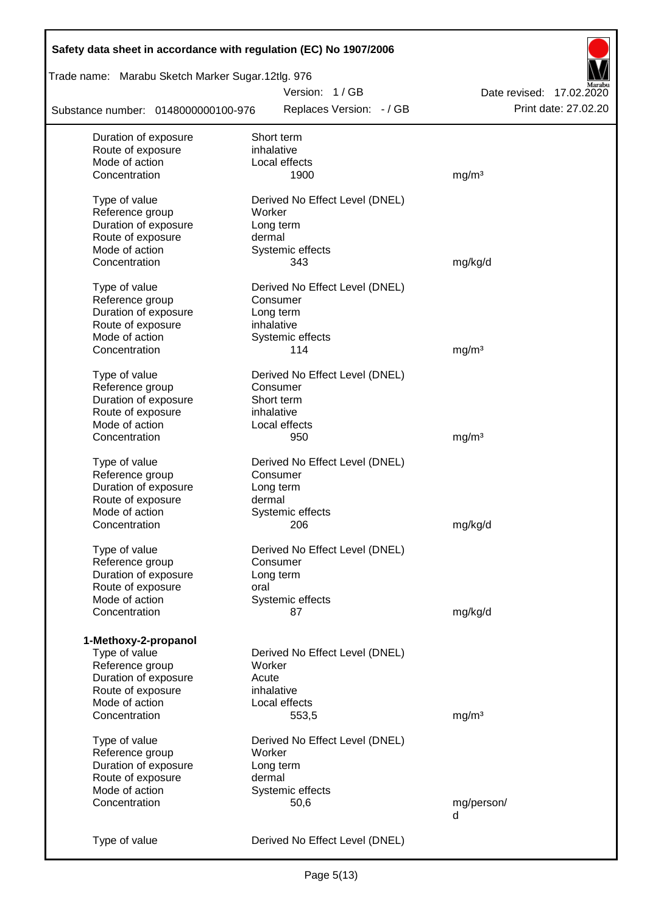| Safety data sheet in accordance with regulation (EC) No 1907/2006 |                                |                          |
|-------------------------------------------------------------------|--------------------------------|--------------------------|
| Trade name: Marabu Sketch Marker Sugar.12tlg. 976                 |                                |                          |
|                                                                   | Version: 1/GB                  | Date revised: 17.02.2020 |
| Substance number: 0148000000100-976                               | Replaces Version: - / GB       | Print date: 27.02.20     |
| Duration of exposure                                              | Short term                     |                          |
| Route of exposure                                                 | inhalative                     |                          |
| Mode of action                                                    | Local effects                  |                          |
| Concentration                                                     | 1900                           | mg/m <sup>3</sup>        |
| Type of value                                                     | Derived No Effect Level (DNEL) |                          |
| Reference group                                                   | Worker                         |                          |
| Duration of exposure                                              | Long term                      |                          |
| Route of exposure                                                 | dermal                         |                          |
| Mode of action                                                    | Systemic effects               |                          |
| Concentration                                                     | 343                            | mg/kg/d                  |
| Type of value                                                     | Derived No Effect Level (DNEL) |                          |
| Reference group                                                   | Consumer                       |                          |
| Duration of exposure                                              | Long term                      |                          |
| Route of exposure                                                 | inhalative                     |                          |
| Mode of action                                                    | Systemic effects               |                          |
| Concentration                                                     | 114                            | mg/m <sup>3</sup>        |
| Type of value                                                     | Derived No Effect Level (DNEL) |                          |
| Reference group                                                   | Consumer                       |                          |
| Duration of exposure                                              | Short term                     |                          |
| Route of exposure                                                 | inhalative                     |                          |
| Mode of action                                                    | Local effects                  |                          |
| Concentration                                                     | 950                            | mg/m <sup>3</sup>        |
|                                                                   |                                |                          |
| Type of value                                                     | Derived No Effect Level (DNEL) |                          |
| Reference group                                                   | Consumer                       |                          |
| Duration of exposure                                              | Long term                      |                          |
| Route of exposure                                                 | dermal                         |                          |
| Mode of action                                                    | Systemic effects               |                          |
| Concentration                                                     | 206                            | mg/kg/d                  |
| Type of value                                                     | Derived No Effect Level (DNEL) |                          |
| Reference group                                                   | Consumer                       |                          |
| Duration of exposure                                              | Long term                      |                          |
| Route of exposure                                                 | oral                           |                          |
| Mode of action                                                    | Systemic effects               |                          |
| Concentration                                                     | 87                             | mg/kg/d                  |
| 1-Methoxy-2-propanol                                              |                                |                          |
| Type of value                                                     | Derived No Effect Level (DNEL) |                          |
| Reference group                                                   | Worker                         |                          |
| Duration of exposure                                              | Acute                          |                          |
| Route of exposure                                                 | inhalative                     |                          |
| Mode of action                                                    | Local effects                  |                          |
| Concentration                                                     | 553,5                          | mg/m <sup>3</sup>        |
|                                                                   |                                |                          |
| Type of value                                                     | Derived No Effect Level (DNEL) |                          |
| Reference group                                                   | Worker                         |                          |
| Duration of exposure                                              | Long term                      |                          |
| Route of exposure                                                 | dermal                         |                          |
| Mode of action                                                    | Systemic effects               |                          |
| Concentration                                                     | 50,6                           | mg/person/               |
|                                                                   |                                | d                        |
| Type of value                                                     | Derived No Effect Level (DNEL) |                          |
|                                                                   |                                |                          |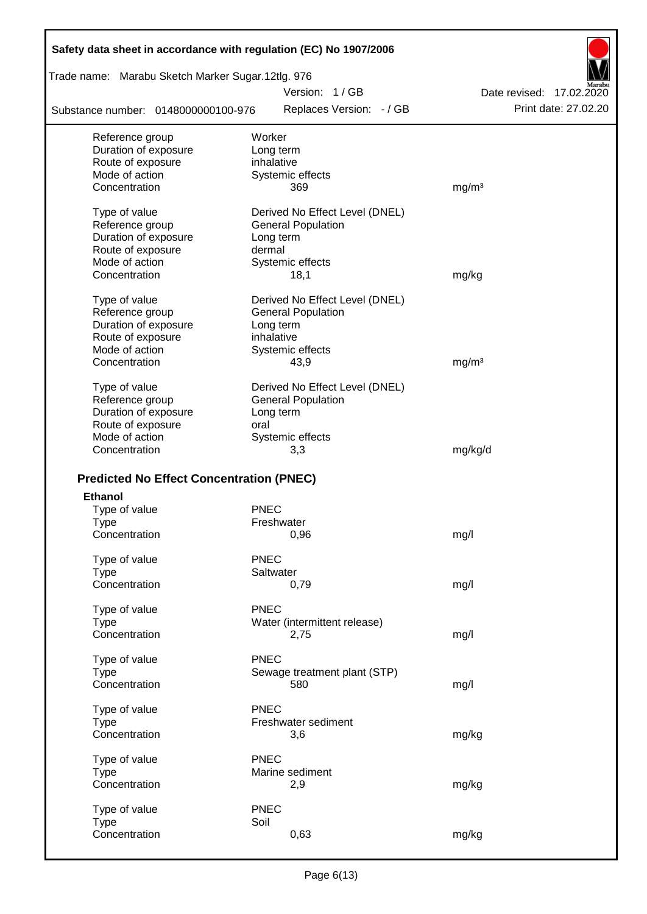| Safety data sheet in accordance with regulation (EC) No 1907/2006 |                                |                          |
|-------------------------------------------------------------------|--------------------------------|--------------------------|
| Trade name: Marabu Sketch Marker Sugar.12tlg. 976                 |                                |                          |
|                                                                   | Version: 1/GB                  | Date revised: 17.02.2020 |
| Substance number: 0148000000100-976                               | Replaces Version: - / GB       | Print date: 27.02.20     |
| Reference group                                                   | Worker                         |                          |
| Duration of exposure                                              | Long term                      |                          |
| Route of exposure                                                 | inhalative                     |                          |
| Mode of action                                                    | Systemic effects               |                          |
| Concentration                                                     | 369                            | mg/m <sup>3</sup>        |
| Type of value                                                     | Derived No Effect Level (DNEL) |                          |
| Reference group                                                   | <b>General Population</b>      |                          |
| Duration of exposure                                              | Long term                      |                          |
| Route of exposure                                                 | dermal                         |                          |
| Mode of action                                                    | Systemic effects               |                          |
| Concentration                                                     | 18,1                           | mg/kg                    |
| Type of value                                                     | Derived No Effect Level (DNEL) |                          |
| Reference group                                                   | <b>General Population</b>      |                          |
| Duration of exposure                                              | Long term                      |                          |
| Route of exposure                                                 | inhalative                     |                          |
| Mode of action                                                    | Systemic effects               |                          |
| Concentration                                                     | 43,9                           | mg/m <sup>3</sup>        |
| Type of value                                                     | Derived No Effect Level (DNEL) |                          |
| Reference group                                                   | <b>General Population</b>      |                          |
| Duration of exposure                                              | Long term                      |                          |
| Route of exposure                                                 | oral                           |                          |
| Mode of action                                                    | Systemic effects               |                          |
| Concentration                                                     | 3,3                            | mg/kg/d                  |
|                                                                   |                                |                          |
| <b>Predicted No Effect Concentration (PNEC)</b>                   |                                |                          |
| <b>Ethanol</b>                                                    |                                |                          |
| Type of value                                                     | <b>PNEC</b>                    |                          |
| Type                                                              | Freshwater                     |                          |
| Concentration                                                     | 0,96                           | mg/l                     |
| Type of value                                                     | <b>PNEC</b>                    |                          |
| <b>Type</b>                                                       | Saltwater                      |                          |
| Concentration                                                     | 0,79                           | mg/l                     |
| Type of value                                                     | PNEC                           |                          |
| <b>Type</b>                                                       | Water (intermittent release)   |                          |
| Concentration                                                     | 2,75                           | mg/l                     |
|                                                                   |                                |                          |
| Type of value                                                     | <b>PNEC</b>                    |                          |
| <b>Type</b>                                                       | Sewage treatment plant (STP)   |                          |
| Concentration                                                     | 580                            | mg/l                     |
| Type of value                                                     | <b>PNEC</b>                    |                          |
| <b>Type</b>                                                       | Freshwater sediment            |                          |
| Concentration                                                     | 3,6                            | mg/kg                    |
| Type of value                                                     | <b>PNEC</b>                    |                          |
| <b>Type</b>                                                       | Marine sediment                |                          |
| Concentration                                                     | 2,9                            | mg/kg                    |
|                                                                   |                                |                          |
| Type of value                                                     | <b>PNEC</b>                    |                          |
| <b>Type</b>                                                       | Soil                           |                          |
| Concentration                                                     | 0,63                           | mg/kg                    |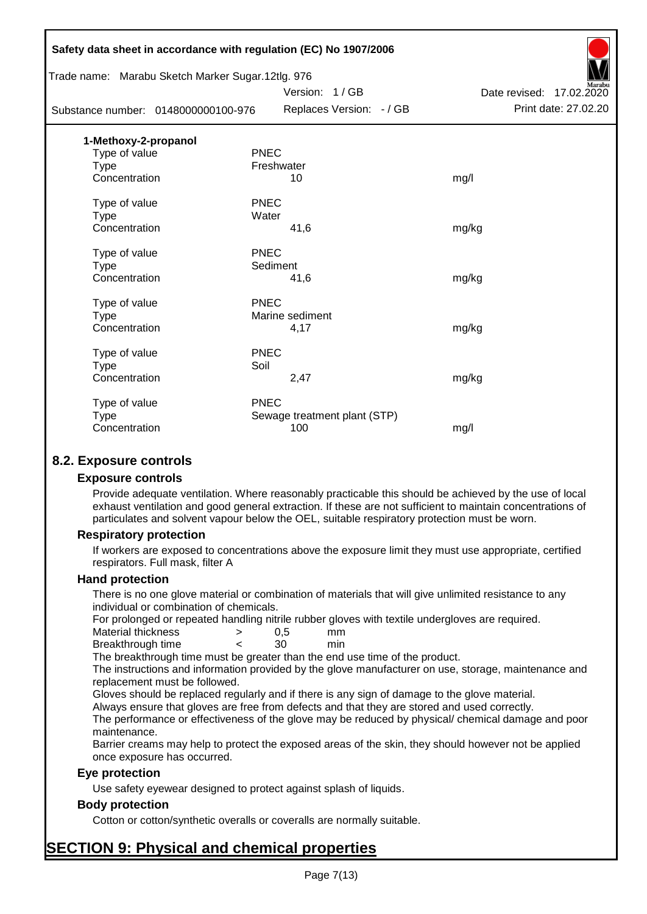|                      | Safety data sheet in accordance with regulation (EC) No 1907/2006 |                              |                          |
|----------------------|-------------------------------------------------------------------|------------------------------|--------------------------|
|                      | Trade name: Marabu Sketch Marker Sugar.12tlg. 976                 |                              |                          |
|                      |                                                                   | Version: 1/GB                | Date revised: 17.02.2020 |
|                      | Substance number: 0148000000100-976                               | Replaces Version: - / GB     | Print date: 27.02.20     |
| 1-Methoxy-2-propanol |                                                                   |                              |                          |
| Type of value        | <b>PNEC</b>                                                       |                              |                          |
| <b>Type</b>          | Freshwater                                                        |                              |                          |
| Concentration        |                                                                   | 10                           | mg/l                     |
| Type of value        | <b>PNEC</b>                                                       |                              |                          |
| <b>Type</b>          | Water                                                             |                              |                          |
| Concentration        |                                                                   | 41,6                         | mg/kg                    |
| Type of value        | <b>PNEC</b>                                                       |                              |                          |
| <b>Type</b>          | Sediment                                                          |                              |                          |
| Concentration        |                                                                   | 41,6                         | mg/kg                    |
| Type of value        | <b>PNEC</b>                                                       |                              |                          |
| Type                 |                                                                   | Marine sediment              |                          |
| Concentration        |                                                                   | 4,17                         | mg/kg                    |
| Type of value        | <b>PNEC</b>                                                       |                              |                          |
| <b>Type</b>          | Soil                                                              |                              |                          |
| Concentration        |                                                                   | 2,47                         | mg/kg                    |
| Type of value        | <b>PNEC</b>                                                       |                              |                          |
| Type                 |                                                                   | Sewage treatment plant (STP) |                          |
| Concentration        |                                                                   | 100                          | mg/l                     |
|                      |                                                                   |                              |                          |

## **8.2. Exposure controls**

#### **Exposure controls**

Provide adequate ventilation. Where reasonably practicable this should be achieved by the use of local exhaust ventilation and good general extraction. If these are not sufficient to maintain concentrations of particulates and solvent vapour below the OEL, suitable respiratory protection must be worn.

#### **Respiratory protection**

If workers are exposed to concentrations above the exposure limit they must use appropriate, certified respirators. Full mask, filter A

#### **Hand protection**

There is no one glove material or combination of materials that will give unlimited resistance to any individual or combination of chemicals.

For prolonged or repeated handling nitrile rubber gloves with textile undergloves are required.

| Material thickness | 0.5 | mm  |
|--------------------|-----|-----|
| Breakthrough time  | 30  | min |

The breakthrough time must be greater than the end use time of the product.

The instructions and information provided by the glove manufacturer on use, storage, maintenance and replacement must be followed.

Gloves should be replaced regularly and if there is any sign of damage to the glove material.

Always ensure that gloves are free from defects and that they are stored and used correctly.

The performance or effectiveness of the glove may be reduced by physical/ chemical damage and poor maintenance.

Barrier creams may help to protect the exposed areas of the skin, they should however not be applied once exposure has occurred.

### **Eye protection**

Use safety eyewear designed to protect against splash of liquids.

### **Body protection**

Cotton or cotton/synthetic overalls or coveralls are normally suitable.

# **SECTION 9: Physical and chemical properties**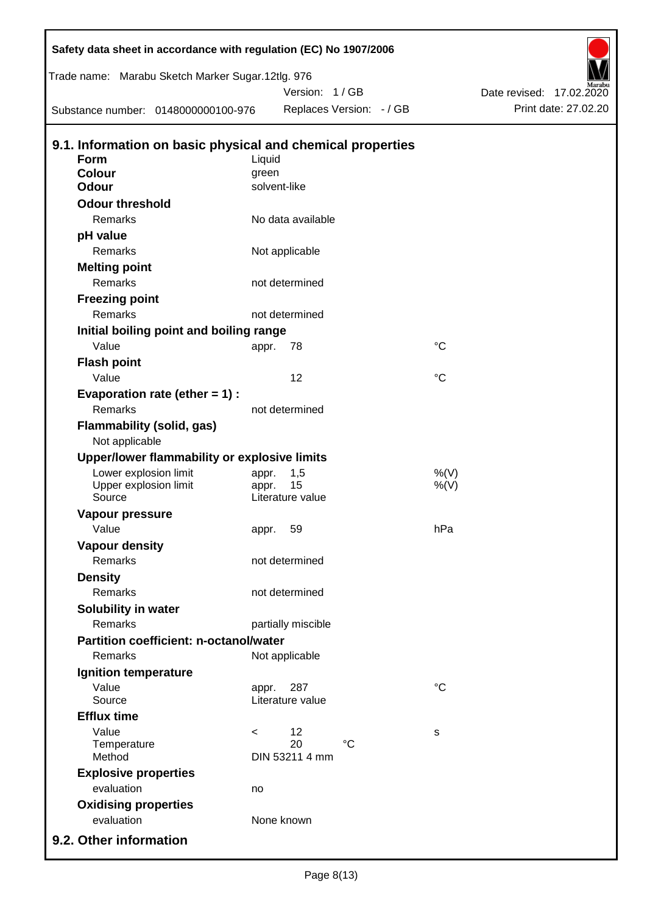| Safety data sheet in accordance with regulation (EC) No 1907/2006 |         |                          |                 |                          |
|-------------------------------------------------------------------|---------|--------------------------|-----------------|--------------------------|
| Trade name: Marabu Sketch Marker Sugar.12tlg. 976                 |         |                          |                 |                          |
|                                                                   |         | Version: 1/GB            |                 | Date revised: 17.02.2020 |
| Substance number: 0148000000100-976                               |         | Replaces Version: - / GB |                 | Print date: 27.02.20     |
| 9.1. Information on basic physical and chemical properties        |         |                          |                 |                          |
| <b>Form</b>                                                       | Liquid  |                          |                 |                          |
| <b>Colour</b>                                                     | green   |                          |                 |                          |
| <b>Odour</b>                                                      |         | solvent-like             |                 |                          |
| <b>Odour threshold</b>                                            |         |                          |                 |                          |
| Remarks                                                           |         | No data available        |                 |                          |
| pH value                                                          |         |                          |                 |                          |
| Remarks                                                           |         | Not applicable           |                 |                          |
| <b>Melting point</b>                                              |         |                          |                 |                          |
| Remarks                                                           |         | not determined           |                 |                          |
| <b>Freezing point</b>                                             |         |                          |                 |                          |
| Remarks                                                           |         | not determined           |                 |                          |
| Initial boiling point and boiling range                           |         |                          |                 |                          |
| Value                                                             | appr.   | 78                       | $^{\circ}C$     |                          |
| <b>Flash point</b>                                                |         |                          |                 |                          |
| Value                                                             |         | 12                       | $\rm ^{\circ}C$ |                          |
| Evaporation rate (ether $= 1$ ) :                                 |         |                          |                 |                          |
| Remarks                                                           |         | not determined           |                 |                          |
| <b>Flammability (solid, gas)</b>                                  |         |                          |                 |                          |
| Not applicable                                                    |         |                          |                 |                          |
| Upper/lower flammability or explosive limits                      |         |                          |                 |                          |
| Lower explosion limit                                             | appr.   | 1,5                      | %(V)            |                          |
| Upper explosion limit                                             | appr.   | 15                       | $%$ (V)         |                          |
| Source                                                            |         | Literature value         |                 |                          |
| Vapour pressure                                                   |         |                          | hPa             |                          |
| Value                                                             |         | appr. 59                 |                 |                          |
| <b>Vapour density</b><br><b>Remarks</b>                           |         | not determined           |                 |                          |
|                                                                   |         |                          |                 |                          |
| <b>Density</b><br>Remarks                                         |         | not determined           |                 |                          |
|                                                                   |         |                          |                 |                          |
| Solubility in water<br>Remarks                                    |         |                          |                 |                          |
| <b>Partition coefficient: n-octanol/water</b>                     |         | partially miscible       |                 |                          |
|                                                                   |         |                          |                 |                          |
| Remarks                                                           |         | Not applicable           |                 |                          |
| Ignition temperature                                              |         |                          |                 |                          |
| Value<br>Source                                                   | appr.   | 287<br>Literature value  | $^{\circ}C$     |                          |
| <b>Efflux time</b>                                                |         |                          |                 |                          |
| Value                                                             | $\,<\,$ | 12                       | s               |                          |
| Temperature                                                       |         | 20<br>$\rm ^{\circ}C$    |                 |                          |
| Method                                                            |         | DIN 53211 4 mm           |                 |                          |
| <b>Explosive properties</b>                                       |         |                          |                 |                          |
| evaluation                                                        | no      |                          |                 |                          |
| <b>Oxidising properties</b>                                       |         |                          |                 |                          |
| evaluation                                                        |         | None known               |                 |                          |
| 9.2. Other information                                            |         |                          |                 |                          |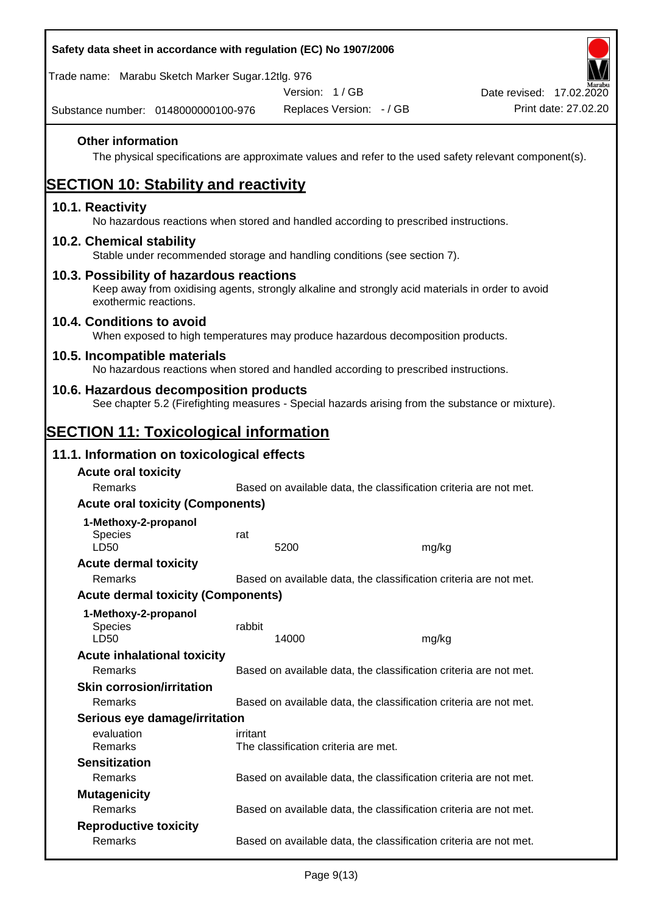| Safety data sheet in accordance with regulation (EC) No 1907/2006                                                                                                     |          |                                      |                          |                                                                                                        |
|-----------------------------------------------------------------------------------------------------------------------------------------------------------------------|----------|--------------------------------------|--------------------------|--------------------------------------------------------------------------------------------------------|
| Trade name: Marabu Sketch Marker Sugar.12tlg. 976                                                                                                                     |          |                                      |                          |                                                                                                        |
| Substance number: 0148000000100-976                                                                                                                                   |          | Version: 1/GB                        | Replaces Version: - / GB | Date revised: 17.02.2020<br>Print date: 27.02.20                                                       |
| <b>Other information</b>                                                                                                                                              |          |                                      |                          | The physical specifications are approximate values and refer to the used safety relevant component(s). |
| <b>SECTION 10: Stability and reactivity</b>                                                                                                                           |          |                                      |                          |                                                                                                        |
| 10.1. Reactivity<br>No hazardous reactions when stored and handled according to prescribed instructions.                                                              |          |                                      |                          |                                                                                                        |
| 10.2. Chemical stability<br>Stable under recommended storage and handling conditions (see section 7).                                                                 |          |                                      |                          |                                                                                                        |
| 10.3. Possibility of hazardous reactions<br>Keep away from oxidising agents, strongly alkaline and strongly acid materials in order to avoid<br>exothermic reactions. |          |                                      |                          |                                                                                                        |
| 10.4. Conditions to avoid<br>When exposed to high temperatures may produce hazardous decomposition products.                                                          |          |                                      |                          |                                                                                                        |
| 10.5. Incompatible materials<br>No hazardous reactions when stored and handled according to prescribed instructions.                                                  |          |                                      |                          |                                                                                                        |
| 10.6. Hazardous decomposition products<br>See chapter 5.2 (Firefighting measures - Special hazards arising from the substance or mixture).                            |          |                                      |                          |                                                                                                        |
| <b>SECTION 11: Toxicological information</b>                                                                                                                          |          |                                      |                          |                                                                                                        |
| 11.1. Information on toxicological effects                                                                                                                            |          |                                      |                          |                                                                                                        |
| <b>Acute oral toxicity</b>                                                                                                                                            |          |                                      |                          |                                                                                                        |
| Remarks                                                                                                                                                               |          |                                      |                          | Based on available data, the classification criteria are not met.                                      |
| <b>Acute oral toxicity (Components)</b>                                                                                                                               |          |                                      |                          |                                                                                                        |
| 1-Methoxy-2-propanol                                                                                                                                                  |          |                                      |                          |                                                                                                        |
| <b>Species</b><br>LD50                                                                                                                                                | rat      | 5200                                 |                          | mg/kg                                                                                                  |
| <b>Acute dermal toxicity</b>                                                                                                                                          |          |                                      |                          |                                                                                                        |
| Remarks                                                                                                                                                               |          |                                      |                          | Based on available data, the classification criteria are not met.                                      |
| <b>Acute dermal toxicity (Components)</b>                                                                                                                             |          |                                      |                          |                                                                                                        |
| 1-Methoxy-2-propanol<br>Species<br>LD50                                                                                                                               | rabbit   | 14000                                |                          | mg/kg                                                                                                  |
| <b>Acute inhalational toxicity</b>                                                                                                                                    |          |                                      |                          |                                                                                                        |
| Remarks                                                                                                                                                               |          |                                      |                          | Based on available data, the classification criteria are not met.                                      |
| <b>Skin corrosion/irritation</b>                                                                                                                                      |          |                                      |                          |                                                                                                        |
| Remarks                                                                                                                                                               |          |                                      |                          | Based on available data, the classification criteria are not met.                                      |
| Serious eye damage/irritation                                                                                                                                         |          |                                      |                          |                                                                                                        |
| evaluation<br>Remarks                                                                                                                                                 | irritant | The classification criteria are met. |                          |                                                                                                        |
| <b>Sensitization</b>                                                                                                                                                  |          |                                      |                          |                                                                                                        |
| <b>Remarks</b>                                                                                                                                                        |          |                                      |                          | Based on available data, the classification criteria are not met.                                      |
| <b>Mutagenicity</b>                                                                                                                                                   |          |                                      |                          |                                                                                                        |
| Remarks                                                                                                                                                               |          |                                      |                          | Based on available data, the classification criteria are not met.                                      |
| <b>Reproductive toxicity</b>                                                                                                                                          |          |                                      |                          |                                                                                                        |
| Remarks                                                                                                                                                               |          |                                      |                          | Based on available data, the classification criteria are not met.                                      |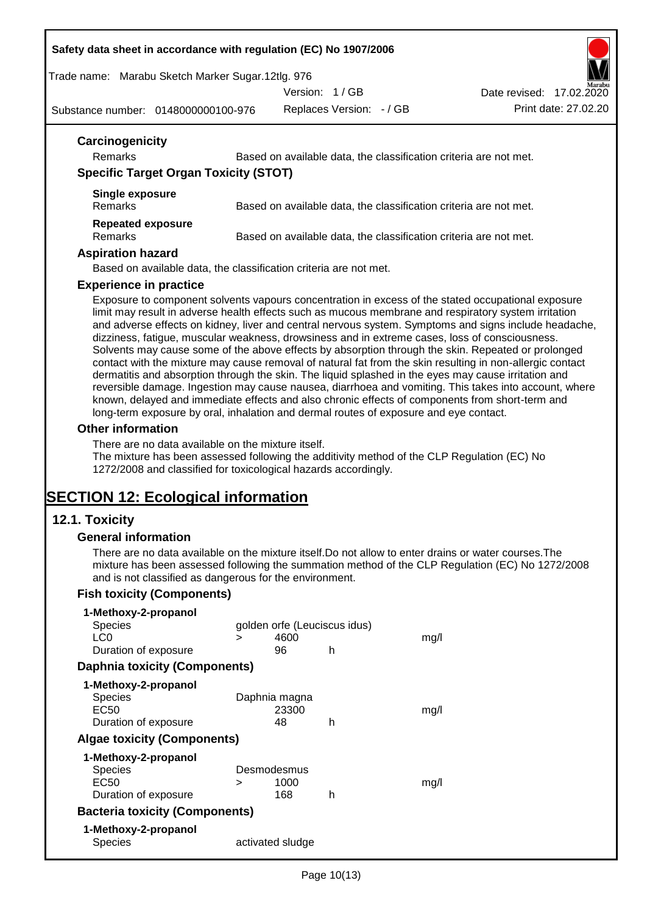#### **Safety data sheet in accordance with regulation (EC) No 1907/2006**

Trade name: Marabu Sketch Marker Sugar.12tlg. 976

Version: 1 / GB

Substance number: 0148000000100-976

Replaces Version: - / GB Print date: 27.02.20 Date revised: 17.02.2020

| Carcinogenicity                              |                                                                   |
|----------------------------------------------|-------------------------------------------------------------------|
| <b>Remarks</b>                               | Based on available data, the classification criteria are not met. |
| <b>Specific Target Organ Toxicity (STOT)</b> |                                                                   |
| Single exposure<br><b>Remarks</b>            | Based on available data, the classification criteria are not met. |
| <b>Repeated exposure</b><br><b>Remarks</b>   | Based on available data, the classification criteria are not met. |

#### **Aspiration hazard**

Based on available data, the classification criteria are not met.

#### **Experience in practice**

Exposure to component solvents vapours concentration in excess of the stated occupational exposure limit may result in adverse health effects such as mucous membrane and respiratory system irritation and adverse effects on kidney, liver and central nervous system. Symptoms and signs include headache, dizziness, fatigue, muscular weakness, drowsiness and in extreme cases, loss of consciousness. Solvents may cause some of the above effects by absorption through the skin. Repeated or prolonged contact with the mixture may cause removal of natural fat from the skin resulting in non-allergic contact dermatitis and absorption through the skin. The liquid splashed in the eyes may cause irritation and reversible damage. Ingestion may cause nausea, diarrhoea and vomiting. This takes into account, where known, delayed and immediate effects and also chronic effects of components from short-term and long-term exposure by oral, inhalation and dermal routes of exposure and eye contact.

#### **Other information**

There are no data available on the mixture itself.

The mixture has been assessed following the additivity method of the CLP Regulation (EC) No 1272/2008 and classified for toxicological hazards accordingly.

# **SECTION 12: Ecological information**

### **12.1. Toxicity**

#### **General information**

There are no data available on the mixture itself.Do not allow to enter drains or water courses.The mixture has been assessed following the summation method of the CLP Regulation (EC) No 1272/2008 and is not classified as dangerous for the environment.

### **Fish toxicity (Components)**

| 1-Methoxy-2-propanol                  |   |                              |   |      |
|---------------------------------------|---|------------------------------|---|------|
| <b>Species</b>                        |   | golden orfe (Leuciscus idus) |   |      |
| LC <sub>0</sub>                       | ⋗ | 4600                         |   | mq/l |
| Duration of exposure                  |   | 96                           | h |      |
| Daphnia toxicity (Components)         |   |                              |   |      |
| 1-Methoxy-2-propanol                  |   |                              |   |      |
| <b>Species</b>                        |   | Daphnia magna                |   |      |
| EC50                                  |   | 23300                        |   | mg/l |
| Duration of exposure                  |   | 48                           | h |      |
| <b>Algae toxicity (Components)</b>    |   |                              |   |      |
| 1-Methoxy-2-propanol                  |   |                              |   |      |
| <b>Species</b>                        |   | Desmodesmus                  |   |      |
| EC50                                  | > | 1000                         |   | mg/l |
| Duration of exposure                  |   | 168                          | h |      |
| <b>Bacteria toxicity (Components)</b> |   |                              |   |      |
| 1-Methoxy-2-propanol                  |   |                              |   |      |
| Species                               |   | activated sludge             |   |      |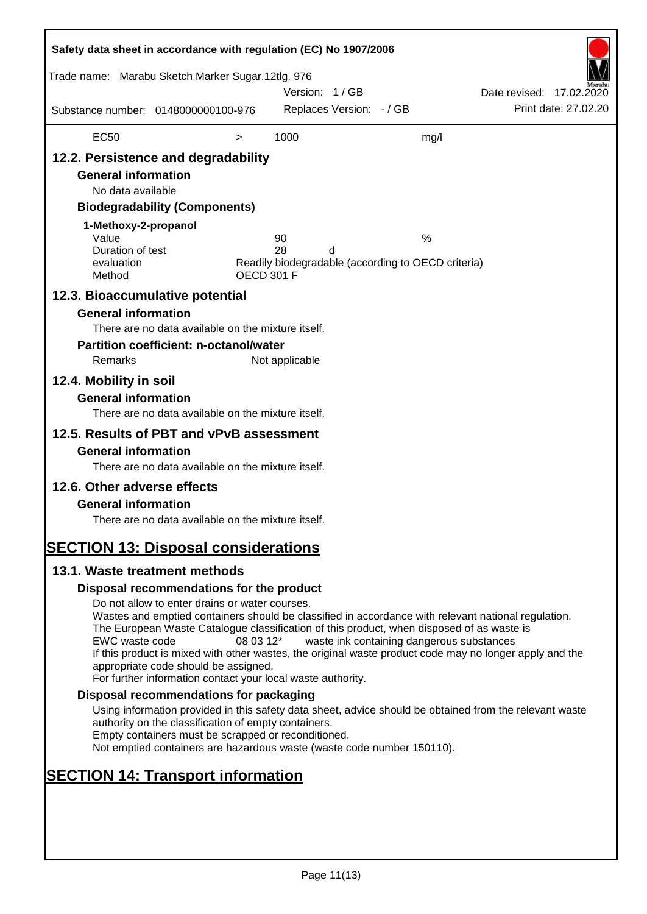| Safety data sheet in accordance with regulation (EC) No 1907/2006                                                                                                   |                                                                                                                                                                                                                                                                                                                                                                                                                                                                      |                   |                |                          |                                                         |                          |                      |
|---------------------------------------------------------------------------------------------------------------------------------------------------------------------|----------------------------------------------------------------------------------------------------------------------------------------------------------------------------------------------------------------------------------------------------------------------------------------------------------------------------------------------------------------------------------------------------------------------------------------------------------------------|-------------------|----------------|--------------------------|---------------------------------------------------------|--------------------------|----------------------|
| Trade name: Marabu Sketch Marker Sugar.12tlg. 976                                                                                                                   |                                                                                                                                                                                                                                                                                                                                                                                                                                                                      |                   | Version: 1/GB  |                          |                                                         | Date revised: 17.02.2020 |                      |
| Substance number: 0148000000100-976                                                                                                                                 |                                                                                                                                                                                                                                                                                                                                                                                                                                                                      |                   |                | Replaces Version: - / GB |                                                         |                          | Print date: 27,02.20 |
| <b>EC50</b>                                                                                                                                                         |                                                                                                                                                                                                                                                                                                                                                                                                                                                                      | $\, > \,$         | 1000           |                          | mg/l                                                    |                          |                      |
| 12.2. Persistence and degradability<br><b>General information</b><br>No data available<br>1-Methoxy-2-propanol<br>Value<br>Duration of test<br>evaluation<br>Method | <b>Biodegradability (Components)</b>                                                                                                                                                                                                                                                                                                                                                                                                                                 | <b>OECD 301 F</b> | 90<br>28       | d                        | %<br>Readily biodegradable (according to OECD criteria) |                          |                      |
| 12.3. Bioaccumulative potential<br><b>General information</b><br>Remarks<br>12.4. Mobility in soil<br><b>General information</b>                                    | There are no data available on the mixture itself.<br><b>Partition coefficient: n-octanol/water</b>                                                                                                                                                                                                                                                                                                                                                                  |                   | Not applicable |                          |                                                         |                          |                      |
| 12.5. Results of PBT and vPvB assessment<br><b>General information</b>                                                                                              | There are no data available on the mixture itself.<br>There are no data available on the mixture itself.                                                                                                                                                                                                                                                                                                                                                             |                   |                |                          |                                                         |                          |                      |
| 12.6. Other adverse effects<br><b>General information</b><br><b>SECTION 13: Disposal considerations</b>                                                             | There are no data available on the mixture itself.                                                                                                                                                                                                                                                                                                                                                                                                                   |                   |                |                          |                                                         |                          |                      |
| 13.1. Waste treatment methods                                                                                                                                       |                                                                                                                                                                                                                                                                                                                                                                                                                                                                      |                   |                |                          |                                                         |                          |                      |
|                                                                                                                                                                     | Disposal recommendations for the product                                                                                                                                                                                                                                                                                                                                                                                                                             |                   |                |                          |                                                         |                          |                      |
| EWC waste code                                                                                                                                                      | Do not allow to enter drains or water courses.<br>Wastes and emptied containers should be classified in accordance with relevant national regulation.<br>The European Waste Catalogue classification of this product, when disposed of as waste is<br>If this product is mixed with other wastes, the original waste product code may no longer apply and the<br>appropriate code should be assigned.<br>For further information contact your local waste authority. | 08 03 12*         |                |                          | waste ink containing dangerous substances               |                          |                      |
|                                                                                                                                                                     | Disposal recommendations for packaging                                                                                                                                                                                                                                                                                                                                                                                                                               |                   |                |                          |                                                         |                          |                      |
|                                                                                                                                                                     | Using information provided in this safety data sheet, advice should be obtained from the relevant waste<br>authority on the classification of empty containers.<br>Empty containers must be scrapped or reconditioned.<br>Not emptied containers are hazardous waste (waste code number 150110).                                                                                                                                                                     |                   |                |                          |                                                         |                          |                      |
| <b>SECTION 14: Transport information</b>                                                                                                                            |                                                                                                                                                                                                                                                                                                                                                                                                                                                                      |                   |                |                          |                                                         |                          |                      |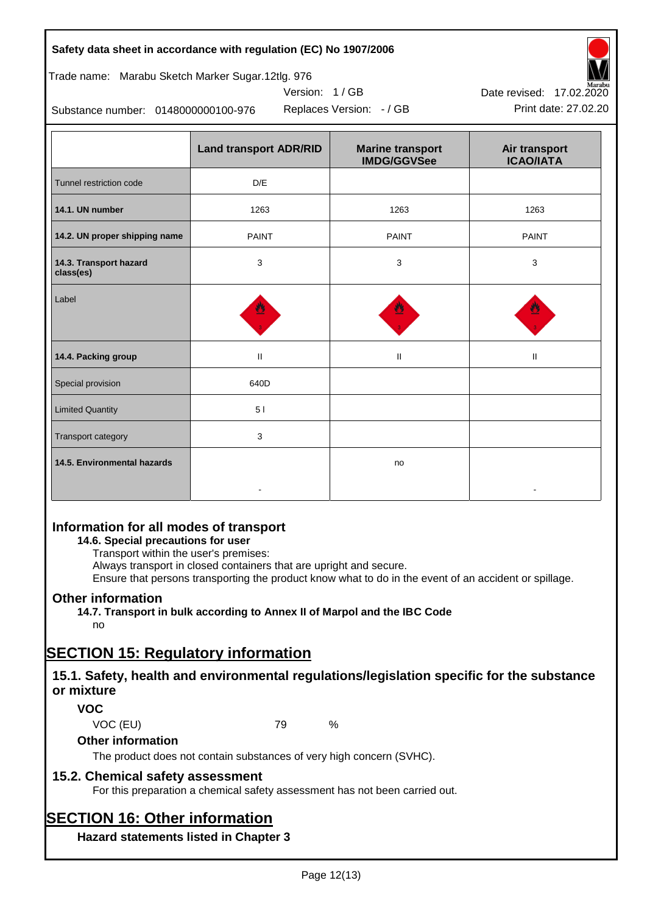### **Safety data sheet in accordance with regulation (EC) No 1907/2006**

| Trade name: Marabu Sketch Marker Sugar.12tlg. 976 |  |  |  |
|---------------------------------------------------|--|--|--|
|                                                   |  |  |  |

Substance number: 0148000000100-976

|                                     | <b>Land transport ADR/RID</b> | <b>Marine transport</b><br><b>IMDG/GGVSee</b> | Air transport<br><b>ICAO/IATA</b> |
|-------------------------------------|-------------------------------|-----------------------------------------------|-----------------------------------|
| Tunnel restriction code             | D/E                           |                                               |                                   |
| 14.1. UN number                     | 1263                          | 1263                                          | 1263                              |
| 14.2. UN proper shipping name       | <b>PAINT</b>                  | <b>PAINT</b>                                  | <b>PAINT</b>                      |
| 14.3. Transport hazard<br>class(es) | 3                             | 3                                             | 3                                 |
| Label                               |                               |                                               |                                   |
| 14.4. Packing group                 | Ш                             | $\rm H$                                       | $\mathbf{I}$                      |
| Special provision                   | 640D                          |                                               |                                   |
| <b>Limited Quantity</b>             | 51                            |                                               |                                   |
| Transport category                  | 3                             |                                               |                                   |
| 14.5. Environmental hazards         |                               | no                                            |                                   |

Version: 1 / GB

## **Information for all modes of transport**

### **14.6. Special precautions for user**

Transport within the user's premises:

Always transport in closed containers that are upright and secure.

Ensure that persons transporting the product know what to do in the event of an accident or spillage.

## **Other information**

**14.7. Transport in bulk according to Annex II of Marpol and the IBC Code**

## no

# **SECTION 15: Regulatory information**

## **15.1. Safety, health and environmental regulations/legislation specific for the substance or mixture**

## **VOC**

VOC (EU) 79 %

### **Other information**

The product does not contain substances of very high concern (SVHC).

## **15.2. Chemical safety assessment**

For this preparation a chemical safety assessment has not been carried out.

# **SECTION 16: Other information**

**Hazard statements listed in Chapter 3**



Replaces Version: - / GB Print date: 27.02.20 Date revised: 17.02.2020